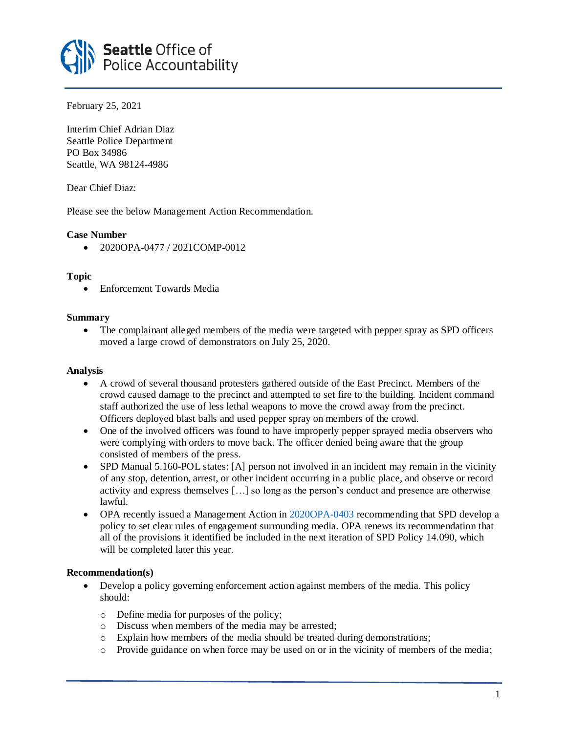

February 25, 2021

Interim Chief Adrian Diaz Seattle Police Department PO Box 34986 Seattle, WA 98124-4986

Dear Chief Diaz:

Please see the below Management Action Recommendation.

## **Case Number**

• 2020OPA-0477 / 2021COMP-0012

## **Topic**

• Enforcement Towards Media

## **Summary**

• The complainant alleged members of the media were targeted with pepper spray as SPD officers moved a large crowd of demonstrators on July 25, 2020.

### **Analysis**

- A crowd of several thousand protesters gathered outside of the East Precinct. Members of the crowd caused damage to the precinct and attempted to set fire to the building. Incident command staff authorized the use of less lethal weapons to move the crowd away from the precinct. Officers deployed blast balls and used pepper spray on members of the crowd.
- One of the involved officers was found to have improperly pepper sprayed media observers who were complying with orders to move back. The officer denied being aware that the group consisted of members of the press.
- SPD Manual 5.160-POL states: [A] person not involved in an incident may remain in the vicinity of any stop, detention, arrest, or other incident occurring in a public place, and observe or record activity and express themselves […] so long as the person's conduct and presence are otherwise lawful.
- OPA recently issued a Management Action in [2020OPA-0403](https://www.seattle.gov/Documents/Departments/OPA/ManagementAction/2020OPA-0403_2021COMP-0012_MAR_02-04-21.pdf) recommending that SPD develop a policy to set clear rules of engagement surrounding media. OPA renews its recommendation that all of the provisions it identified be included in the next iteration of SPD Policy 14.090, which will be completed later this year.

# **Recommendation(s)**

- Develop a policy governing enforcement action against members of the media. This policy should:
	- o Define media for purposes of the policy;
	- o Discuss when members of the media may be arrested;
	- o Explain how members of the media should be treated during demonstrations;
	- o Provide guidance on when force may be used on or in the vicinity of members of the media;